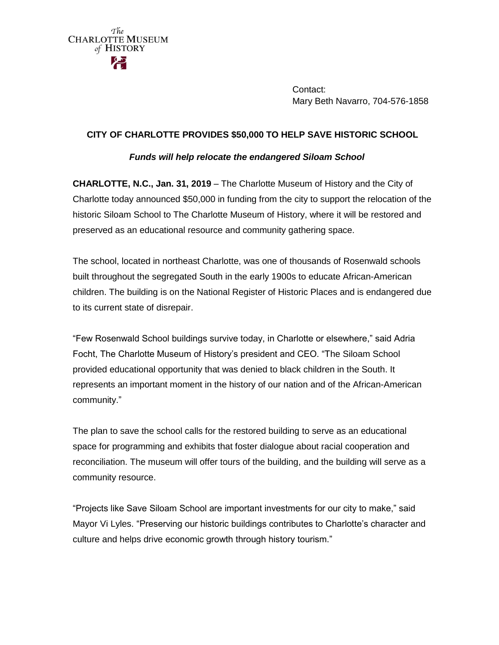

Contact: Mary Beth Navarro, 704-576-1858

# **CITY OF CHARLOTTE PROVIDES \$50,000 TO HELP SAVE HISTORIC SCHOOL**

# *Funds will help relocate the endangered Siloam School*

**CHARLOTTE, N.C., Jan. 31, 2019** – The Charlotte Museum of History and the City of Charlotte today announced \$50,000 in funding from the city to support the relocation of the historic Siloam School to The Charlotte Museum of History, where it will be restored and preserved as an educational resource and community gathering space.

The school, located in northeast Charlotte, was one of thousands of Rosenwald schools built throughout the segregated South in the early 1900s to educate African-American children. The building is on the National Register of Historic Places and is endangered due to its current state of disrepair.

"Few Rosenwald School buildings survive today, in Charlotte or elsewhere," said Adria Focht, The Charlotte Museum of History's president and CEO. "The Siloam School provided educational opportunity that was denied to black children in the South. It represents an important moment in the history of our nation and of the African-American community."

The plan to save the school calls for the restored building to serve as an educational space for programming and exhibits that foster dialogue about racial cooperation and reconciliation. The museum will offer tours of the building, and the building will serve as a community resource.

"Projects like Save Siloam School are important investments for our city to make," said Mayor Vi Lyles. "Preserving our historic buildings contributes to Charlotte's character and culture and helps drive economic growth through history tourism."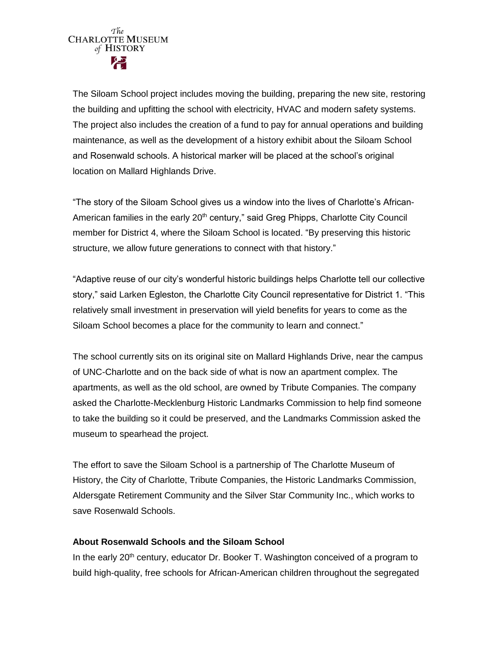

The Siloam School project includes moving the building, preparing the new site, restoring the building and upfitting the school with electricity, HVAC and modern safety systems. The project also includes the creation of a fund to pay for annual operations and building maintenance, as well as the development of a history exhibit about the Siloam School and Rosenwald schools. A historical marker will be placed at the school's original location on Mallard Highlands Drive.

"The story of the Siloam School gives us a window into the lives of Charlotte's African-American families in the early  $20<sup>th</sup>$  century," said Greg Phipps, Charlotte City Council member for District 4, where the Siloam School is located. "By preserving this historic structure, we allow future generations to connect with that history."

"Adaptive reuse of our city's wonderful historic buildings helps Charlotte tell our collective story," said Larken Egleston, the Charlotte City Council representative for District 1. "This relatively small investment in preservation will yield benefits for years to come as the Siloam School becomes a place for the community to learn and connect."

The school currently sits on its original site on Mallard Highlands Drive, near the campus of UNC-Charlotte and on the back side of what is now an apartment complex. The apartments, as well as the old school, are owned by Tribute Companies. The company asked the Charlotte-Mecklenburg Historic Landmarks Commission to help find someone to take the building so it could be preserved, and the Landmarks Commission asked the museum to spearhead the project.

The effort to save the Siloam School is a partnership of The Charlotte Museum of History, the City of Charlotte, Tribute Companies, the Historic Landmarks Commission, Aldersgate Retirement Community and the Silver Star Community Inc., which works to save Rosenwald Schools.

# **About Rosenwald Schools and the Siloam School**

In the early  $20<sup>th</sup>$  century, educator Dr. Booker T. Washington conceived of a program to build high-quality, free schools for African-American children throughout the segregated